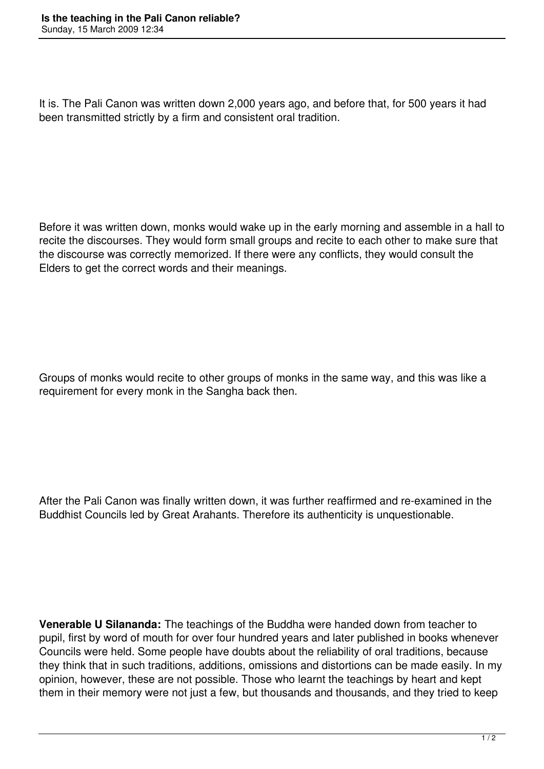It is. The Pali Canon was written down 2,000 years ago, and before that, for 500 years it had been transmitted strictly by a firm and consistent oral tradition.

Before it was written down, monks would wake up in the early morning and assemble in a hall to recite the discourses. They would form small groups and recite to each other to make sure that the discourse was correctly memorized. If there were any conflicts, they would consult the Elders to get the correct words and their meanings.

Groups of monks would recite to other groups of monks in the same way, and this was like a requirement for every monk in the Sangha back then.

After the Pali Canon was finally written down, it was further reaffirmed and re-examined in the Buddhist Councils led by Great Arahants. Therefore its authenticity is unquestionable.

**Venerable U Silananda:** The teachings of the Buddha were handed down from teacher to pupil, first by word of mouth for over four hundred years and later published in books whenever Councils were held. Some people have doubts about the reliability of oral traditions, because they think that in such traditions, additions, omissions and distortions can be made easily. In my opinion, however, these are not possible. Those who learnt the teachings by heart and kept them in their memory were not just a few, but thousands and thousands, and they tried to keep